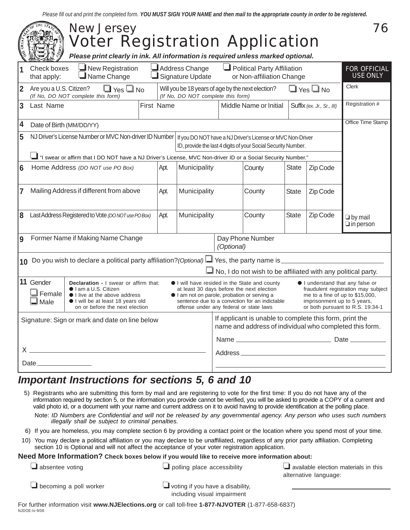*Please fill out and print the completed form. YOU MUST SIGN YOUR NAME and then mail to the appropriate county in order to be registered.*

|                                                                                                                                                                                                                                   |                                                                                                                                                                                                                                                                                                                                                                                                                                                                                                                                                                                                                                            | <b>New Jersey</b><br><b>Voter Registration Application</b><br>Please print clearly in ink. All information is required unless marked optional. |  |                        |              |                                                                                                                    |                                                               |                |          | 76                                     |
|-----------------------------------------------------------------------------------------------------------------------------------------------------------------------------------------------------------------------------------|--------------------------------------------------------------------------------------------------------------------------------------------------------------------------------------------------------------------------------------------------------------------------------------------------------------------------------------------------------------------------------------------------------------------------------------------------------------------------------------------------------------------------------------------------------------------------------------------------------------------------------------------|------------------------------------------------------------------------------------------------------------------------------------------------|--|------------------------|--------------|--------------------------------------------------------------------------------------------------------------------|---------------------------------------------------------------|----------------|----------|----------------------------------------|
|                                                                                                                                                                                                                                   | Check boxes<br>that apply:                                                                                                                                                                                                                                                                                                                                                                                                                                                                                                                                                                                                                 | $\mathbf{\underline{I}}$ New Registration<br>Address Change<br>$\blacksquare$ Name Change<br>Signature Update                                  |  |                        |              | Political Party Affiliation<br>or Non-affiliation Change                                                           |                                                               |                |          | <b>FOR OFFICIAL</b><br><b>USE ONLY</b> |
| $ 2\rangle$                                                                                                                                                                                                                       | Are you a U.S. Citizen?<br>$\Box$ Yes $\Box$ No<br>(If No, DO NOT complete this form)<br>(If No, DO NOT complete this form)                                                                                                                                                                                                                                                                                                                                                                                                                                                                                                                |                                                                                                                                                |  |                        |              | $\Box$ Yes $\Box$ No<br>Will you be 18 years of age by the next election?                                          |                                                               |                |          | Clerk                                  |
| $\overline{3}$                                                                                                                                                                                                                    | Last Name                                                                                                                                                                                                                                                                                                                                                                                                                                                                                                                                                                                                                                  | First Name                                                                                                                                     |  | Middle Name or Initial |              | Suffix (ex. Jr., Sr., III)                                                                                         |                                                               | Registration # |          |                                        |
| 4                                                                                                                                                                                                                                 | Date of Birth (MM/DD/YY)                                                                                                                                                                                                                                                                                                                                                                                                                                                                                                                                                                                                                   |                                                                                                                                                |  |                        |              |                                                                                                                    |                                                               |                |          | Office Time Stamp                      |
| 5                                                                                                                                                                                                                                 | NJ Driver's License Number or MVC Non-driver ID Number   If you DO NOT have a NJ Driver's License or MVC Non-Driver                                                                                                                                                                                                                                                                                                                                                                                                                                                                                                                        |                                                                                                                                                |  |                        |              |                                                                                                                    | ID, provide the last 4 digits of your Social Security Number. |                |          |                                        |
|                                                                                                                                                                                                                                   |                                                                                                                                                                                                                                                                                                                                                                                                                                                                                                                                                                                                                                            | "I swear or affirm that I DO NOT have a NJ Driver's License, MVC Non-driver ID or a Social Security Number."                                   |  |                        |              |                                                                                                                    |                                                               |                |          |                                        |
| $6\phantom{1}6$                                                                                                                                                                                                                   |                                                                                                                                                                                                                                                                                                                                                                                                                                                                                                                                                                                                                                            | Home Address (DO NOT use PO Box)                                                                                                               |  | Apt.                   | Municipality |                                                                                                                    | County                                                        | <b>State</b>   | Zip Code |                                        |
| 7                                                                                                                                                                                                                                 |                                                                                                                                                                                                                                                                                                                                                                                                                                                                                                                                                                                                                                            | Mailing Address if different from above                                                                                                        |  | Apt.                   | Municipality |                                                                                                                    | County                                                        | <b>State</b>   | Zip Code |                                        |
| 8                                                                                                                                                                                                                                 |                                                                                                                                                                                                                                                                                                                                                                                                                                                                                                                                                                                                                                            | Last Address Registered to Vote (DONOTuse PO Box)                                                                                              |  | Apt.                   | Municipality |                                                                                                                    | County                                                        | <b>State</b>   | Zip Code | $\Box$ by mail<br>$\Box$ in person     |
| 9                                                                                                                                                                                                                                 | Former Name if Making Name Change<br>Day Phone Number<br>(Optional)                                                                                                                                                                                                                                                                                                                                                                                                                                                                                                                                                                        |                                                                                                                                                |  |                        |              |                                                                                                                    |                                                               |                |          |                                        |
| 10                                                                                                                                                                                                                                | Do you wish to declare a political party affiliation? (Optional) $\Box$ Yes, the party name is                                                                                                                                                                                                                                                                                                                                                                                                                                                                                                                                             |                                                                                                                                                |  |                        |              |                                                                                                                    |                                                               |                |          |                                        |
|                                                                                                                                                                                                                                   |                                                                                                                                                                                                                                                                                                                                                                                                                                                                                                                                                                                                                                            |                                                                                                                                                |  |                        |              |                                                                                                                    | No, I do not wish to be affiliated with any political party.  |                |          |                                        |
|                                                                                                                                                                                                                                   | 11 Gender<br><b>Declaration - I</b> swear or affirm that:<br>I will have resided in the State and county<br>I understand that any false or<br>$\bullet$ I am a U.S. Citizen<br>at least 30 days before the next election<br>fraudulent registration may subject<br>』Female<br>I live at the above address<br>I am not on parole, probation or serving a<br>me to a fine of up to \$15,000,<br>I will be at least 18 years old<br>sentence due to a conviction for an indictable<br>⊿l Male<br>imprisonment up to 5 years,<br>on or before the next election<br>offense under any federal or state laws<br>or both pursuant to R.S. 19:34-1 |                                                                                                                                                |  |                        |              |                                                                                                                    |                                                               |                |          |                                        |
| Signature: Sign or mark and date on line below                                                                                                                                                                                    |                                                                                                                                                                                                                                                                                                                                                                                                                                                                                                                                                                                                                                            |                                                                                                                                                |  |                        |              | If applicant is unable to complete this form, print the<br>name and address of individual who completed this form. |                                                               |                |          |                                        |
|                                                                                                                                                                                                                                   |                                                                                                                                                                                                                                                                                                                                                                                                                                                                                                                                                                                                                                            |                                                                                                                                                |  |                        |              |                                                                                                                    |                                                               |                |          |                                        |
| $\mathsf{X}$ and the set of the set of the set of the set of the set of the set of the set of the set of the set of the set of the set of the set of the set of the set of the set of the set of the set of the set of the set of |                                                                                                                                                                                                                                                                                                                                                                                                                                                                                                                                                                                                                                            |                                                                                                                                                |  |                        |              |                                                                                                                    |                                                               |                |          |                                        |
|                                                                                                                                                                                                                                   |                                                                                                                                                                                                                                                                                                                                                                                                                                                                                                                                                                                                                                            |                                                                                                                                                |  |                        |              |                                                                                                                    |                                                               |                |          |                                        |

## *Important Instructions for sections 5, 6 and 10*

5) Registrants who are submitting this form by mail and are registering to vote for the first time: If you do not have any of the information required by section 5, or the information you provide cannot be verified, you will be asked to provide a COPY of a current and valid photo id, or a document with your name and current address on it to avoid having to provide identification at the polling place.

Note: *ID Numbers are Confidential and will not be released by any governmental agency. Any person who uses such numbers illegally shall be subject to criminal penalties.*

- 6) If you are homeless, you may complete section 6 by providing a contact point or the location where you spend most of your time.
- 10) You may declare a political affiliation or you may declare to be unaffiliated, regardless of any prior party affiliation. Completing section 10 is Optional and will not affect the acceptance of your voter registration application.

## **Need More Information? Check boxes below if you would like to receive more information about:**

| $\Box$ absentee voting        | $\Box$ polling place accessibility      | $\Box$ available election materials in this<br>alternative language: |
|-------------------------------|-----------------------------------------|----------------------------------------------------------------------|
| $\Box$ becoming a poll worker | $\Box$ voting if you have a disability, |                                                                      |

including visual impairment

NJDOE-lv-9/08 For further information visit **www.NJElections.org** or call toll-free **1-877-NJVOTER** (1-877-658-6837)